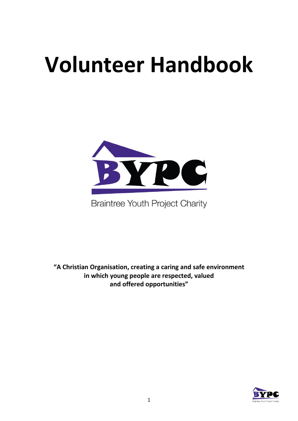# **Volunteer Handbook**



**Braintree Youth Project Charity** 

**"A Christian Organisation, creating a caring and safe environment in which young people are respected, valued and offered opportunities"**

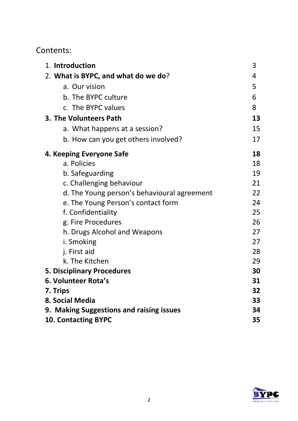# Contents:

| 1. Introduction                             | 3  |
|---------------------------------------------|----|
| 2. What is BYPC, and what do we do?         | 4  |
| a. Our vision                               | 5  |
| b. The BYPC culture                         | 6  |
| c. The BYPC values                          | 8  |
| 3. The Volunteers Path                      | 13 |
| a. What happens at a session?               | 15 |
| b. How can you get others involved?         | 17 |
| 4. Keeping Everyone Safe                    | 18 |
| a. Policies                                 | 18 |
| b. Safeguarding                             | 19 |
| c. Challenging behaviour                    | 21 |
| d. The Young person's behavioural agreement | 22 |
| e. The Young Person's contact form          | 24 |
| f. Confidentiality                          | 25 |
| g. Fire Procedures                          | 26 |
| h. Drugs Alcohol and Weapons                | 27 |
| i. Smoking                                  | 27 |
| j. First aid                                | 28 |
| k. The Kitchen                              | 29 |
| <b>5. Disciplinary Procedures</b>           | 30 |
| 6. Volunteer Rota's                         | 31 |
| 7. Trips                                    | 32 |
| 8. Social Media                             | 33 |
| 9. Making Suggestions and raising issues    | 34 |
| <b>10. Contacting BYPC</b>                  | 35 |

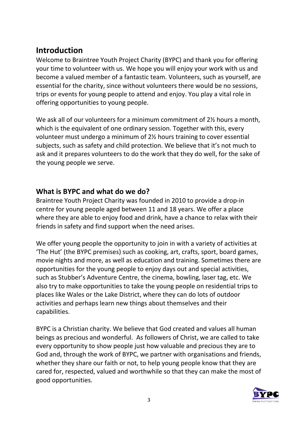# **Introduction**

Welcome to Braintree Youth Project Charity (BYPC) and thank you for offering your time to volunteer with us. We hope you will enjoy your work with us and become a valued member of a fantastic team. Volunteers, such as yourself, are essential for the charity, since without volunteers there would be no sessions, trips or events for young people to attend and enjoy. You play a vital role in offering opportunities to young people.

We ask all of our volunteers for a minimum commitment of 2<sup>1/2</sup> hours a month, which is the equivalent of one ordinary session. Together with this, every volunteer must undergo a minimum of 2½ hours training to cover essential subjects, such as safety and child protection. We believe that it's not much to ask and it prepares volunteers to do the work that they do well, for the sake of the young people we serve.

#### **What is BYPC and what do we do?**

Braintree Youth Project Charity was founded in 2010 to provide a drop-in centre for young people aged between 11 and 18 years. We offer a place where they are able to enjoy food and drink, have a chance to relax with their friends in safety and find support when the need arises.

We offer young people the opportunity to join in with a variety of activities at 'The Hut' (the BYPC premises) such as cooking, art, crafts, sport, board games, movie nights and more, as well as education and training. Sometimes there are opportunities for the young people to enjoy days out and special activities, such as Stubber's Adventure Centre, the cinema, bowling, laser tag, etc. We also try to make opportunities to take the young people on residential trips to places like Wales or the Lake District, where they can do lots of outdoor activities and perhaps learn new things about themselves and their capabilities.

BYPC is a Christian charity. We believe that God created and values all human beings as precious and wonderful. As followers of Christ, we are called to take every opportunity to show people just how valuable and precious they are to God and, through the work of BYPC, we partner with organisations and friends, whether they share our faith or not, to help young people know that they are cared for, respected, valued and worthwhile so that they can make the most of good opportunities.

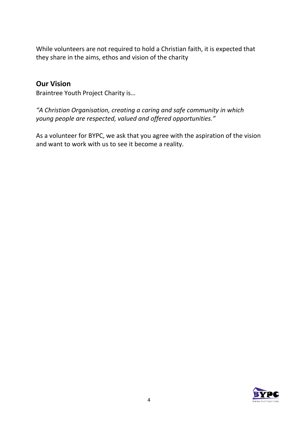While volunteers are not required to hold a Christian faith, it is expected that they share in the aims, ethos and vision of the charity

#### **Our Vision**

Braintree Youth Project Charity is…

*"A Christian Organisation, creating a caring and safe community in which young people are respected, valued and offered opportunities."*

As a volunteer for BYPC, we ask that you agree with the aspiration of the vision and want to work with us to see it become a reality.

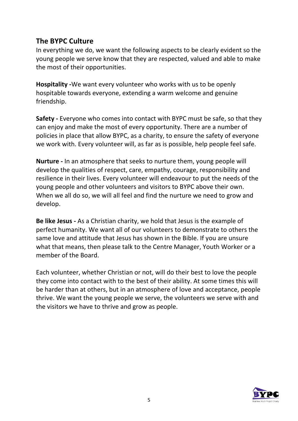## **The BYPC Culture**

In everything we do, we want the following aspects to be clearly evident so the young people we serve know that they are respected, valued and able to make the most of their opportunities.

**Hospitality -**We want every volunteer who works with us to be openly hospitable towards everyone, extending a warm welcome and genuine friendship.

**Safety -** Everyone who comes into contact with BYPC must be safe, so that they can enjoy and make the most of every opportunity. There are a number of policies in place that allow BYPC, as a charity, to ensure the safety of everyone we work with. Every volunteer will, as far as is possible, help people feel safe.

**Nurture -** In an atmosphere that seeks to nurture them, young people will develop the qualities of respect, care, empathy, courage, responsibility and resilience in their lives. Every volunteer will endeavour to put the needs of the young people and other volunteers and visitors to BYPC above their own. When we all do so, we will all feel and find the nurture we need to grow and develop.

**Be like Jesus -** As a Christian charity, we hold that Jesus is the example of perfect humanity. We want all of our volunteers to demonstrate to others the same love and attitude that Jesus has shown in the Bible. If you are unsure what that means, then please talk to the Centre Manager, Youth Worker or a member of the Board.

Each volunteer, whether Christian or not, will do their best to love the people they come into contact with to the best of their ability. At some times this will be harder than at others, but in an atmosphere of love and acceptance, people thrive. We want the young people we serve, the volunteers we serve with and the visitors we have to thrive and grow as people.

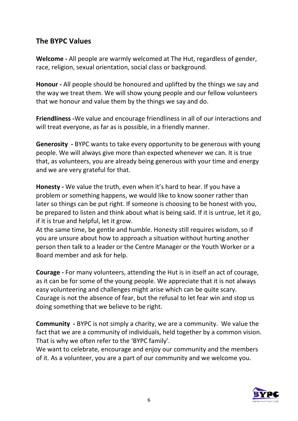#### **The BYPC Values**

**Welcome -** All people are warmly welcomed at The Hut, regardless of gender, race, religion, sexual orientation, social class or background.

**Honour -** All people should be honoured and uplifted by the things we say and the way we treat them. We will show young people and our fellow volunteers that we honour and value them by the things we say and do.

**Friendliness -**We value and encourage friendliness in all of our interactions and will treat everyone, as far as is possible, in a friendly manner.

**Generosity -** BYPC wants to take every opportunity to be generous with young people. We will always give more than expected whenever we can. It is true that, as volunteers, you are already being generous with your time and energy and we are very grateful for that.

**Honesty -** We value the truth, even when it's hard to hear. If you have a problem or something happens, we would like to know sooner rather than later so things can be put right. If someone is choosing to be honest with you, be prepared to listen and think about what is being said. If it is untrue, let it go, if it is true and helpful, let it grow.

At the same time, be gentle and humble. Honesty still requires wisdom, so if you are unsure about how to approach a situation without hurting another person then talk to a leader or the Centre Manager or the Youth Worker or a Board member and ask for help.

**Courage -** For many volunteers, attending the Hut is in itself an act of courage, as it can be for some of the young people. We appreciate that it is not always easy volunteering and challenges might arise which can be quite scary. Courage is not the absence of fear, but the refusal to let fear win and stop us doing something that we believe to be right.

**Community -** BYPC is not simply a charity, we are a community. We value the fact that we are a community of individuals, held together by a common vision. That is why we often refer to the 'BYPC family'.

We want to celebrate, encourage and enjoy our community and the members of it. As a volunteer, you are a part of our community and we welcome you.

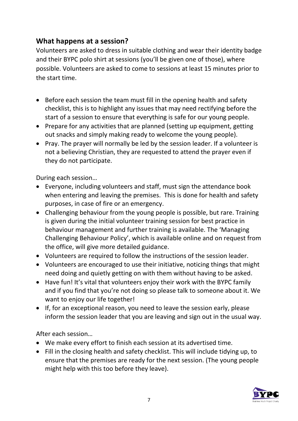#### **What happens at a session?**

Volunteers are asked to dress in suitable clothing and wear their identity badge and their BYPC polo shirt at sessions (you'll be given one of those), where possible. Volunteers are asked to come to sessions at least 15 minutes prior to the start time.

- Before each session the team must fill in the opening health and safety checklist, this is to highlight any issues that may need rectifying before the start of a session to ensure that everything is safe for our young people.
- Prepare for any activities that are planned (setting up equipment, getting out snacks and simply making ready to welcome the young people).
- Pray. The prayer will normally be led by the session leader. If a volunteer is not a believing Christian, they are requested to attend the prayer even if they do not participate.

During each session…

- Everyone, including volunteers and staff, must sign the attendance book when entering and leaving the premises. This is done for health and safety purposes, in case of fire or an emergency.
- Challenging behaviour from the young people is possible, but rare. Training is given during the initial volunteer training session for best practice in behaviour management and further training is available. The 'Managing Challenging Behaviour Policy', which is available online and on request from the office, will give more detailed guidance.
- Volunteers are required to follow the instructions of the session leader.
- Volunteers are encouraged to use their initiative, noticing things that might need doing and quietly getting on with them without having to be asked.
- Have fun! It's vital that volunteers enjoy their work with the BYPC family and if you find that you're not doing so please talk to someone about it. We want to enjoy our life together!
- If, for an exceptional reason, you need to leave the session early, please inform the session leader that you are leaving and sign out in the usual way.

After each session…

- We make every effort to finish each session at its advertised time.
- Fill in the closing health and safety checklist. This will include tidying up, to ensure that the premises are ready for the next session. (The young people might help with this too before they leave).

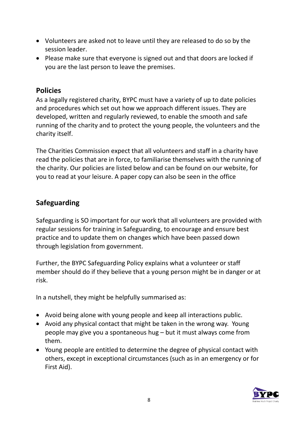- Volunteers are asked not to leave until they are released to do so by the session leader.
- Please make sure that everyone is signed out and that doors are locked if you are the last person to leave the premises.

#### **Policies**

As a legally registered charity, BYPC must have a variety of up to date policies and procedures which set out how we approach different issues. They are developed, written and regularly reviewed, to enable the smooth and safe running of the charity and to protect the young people, the volunteers and the charity itself.

The Charities Commission expect that all volunteers and staff in a charity have read the policies that are in force, to familiarise themselves with the running of the charity. Our policies are listed below and can be found on our website, for you to read at your leisure. A paper copy can also be seen in the office

## **Safeguarding**

Safeguarding is SO important for our work that all volunteers are provided with regular sessions for training in Safeguarding, to encourage and ensure best practice and to update them on changes which have been passed down through legislation from government.

Further, the BYPC Safeguarding Policy explains what a volunteer or staff member should do if they believe that a young person might be in danger or at risk.

In a nutshell, they might be helpfully summarised as:

- Avoid being alone with young people and keep all interactions public.
- Avoid any physical contact that might be taken in the wrong way. Young people may give you a spontaneous hug – but it must always come from them.
- Young people are entitled to determine the degree of physical contact with others, except in exceptional circumstances (such as in an emergency or for First Aid).

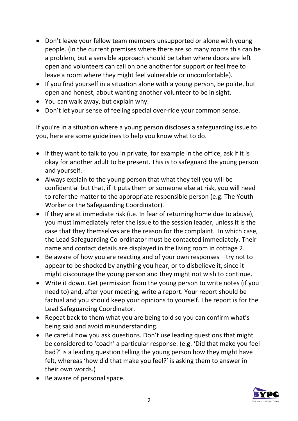- Don't leave your fellow team members unsupported or alone with young people. (In the current premises where there are so many rooms this can be a problem, but a sensible approach should be taken where doors are left open and volunteers can call on one another for support or feel free to leave a room where they might feel vulnerable or uncomfortable).
- If you find yourself in a situation alone with a young person, be polite, but open and honest, about wanting another volunteer to be in sight.
- You can walk away, but explain why.
- Don't let your sense of feeling special over-ride your common sense.

If you're in a situation where a young person discloses a safeguarding issue to you, here are some guidelines to help you know what to do.

- If they want to talk to you in private, for example in the office, ask if it is okay for another adult to be present. This is to safeguard the young person and yourself.
- Always explain to the young person that what they tell you will be confidential but that, if it puts them or someone else at risk, you will need to refer the matter to the appropriate responsible person (e.g. The Youth Worker or the Safeguarding Coordinator).
- If they are at immediate risk (i.e. In fear of returning home due to abuse), you must immediately refer the issue to the session leader, unless it is the case that they themselves are the reason for the complaint. In which case, the Lead Safeguarding Co-ordinator must be contacted immediately. Their name and contact details are displayed in the living room in cottage 2.
- Be aware of how you are reacting and of your own responses try not to appear to be shocked by anything you hear, or to disbelieve it, since it might discourage the young person and they might not wish to continue.
- Write it down. Get permission from the young person to write notes (if you need to) and, after your meeting, write a report. Your report should be factual and you should keep your opinions to yourself. The report is for the Lead Safeguarding Coordinator.
- Repeat back to them what you are being told so you can confirm what's being said and avoid misunderstanding.
- Be careful how you ask questions. Don't use leading questions that might be considered to 'coach' a particular response. (e.g. 'Did that make you feel bad?' is a leading question telling the young person how they might have felt, whereas 'how did that make you feel?' is asking them to answer in their own words.)
- Be aware of personal space.

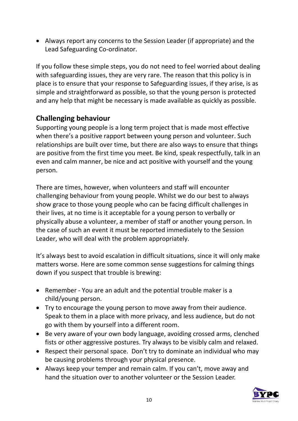• Always report any concerns to the Session Leader (if appropriate) and the Lead Safeguarding Co-ordinator.

If you follow these simple steps, you do not need to feel worried about dealing with safeguarding issues, they are very rare. The reason that this policy is in place is to ensure that your response to Safeguarding issues, if they arise, is as simple and straightforward as possible, so that the young person is protected and any help that might be necessary is made available as quickly as possible.

#### **Challenging behaviour**

Supporting young people is a long term project that is made most effective when there's a positive rapport between young person and volunteer. Such relationships are built over time, but there are also ways to ensure that things are positive from the first time you meet. Be kind, speak respectfully, talk in an even and calm manner, be nice and act positive with yourself and the young person.

There are times, however, when volunteers and staff will encounter challenging behaviour from young people. Whilst we do our best to always show grace to those young people who can be facing difficult challenges in their lives, at no time is it acceptable for a young person to verbally or physically abuse a volunteer, a member of staff or another young person. In the case of such an event it must be reported immediately to the Session Leader, who will deal with the problem appropriately.

It's always best to avoid escalation in difficult situations, since it will only make matters worse. Here are some common sense suggestions for calming things down if you suspect that trouble is brewing:

- Remember You are an adult and the potential trouble maker is a child/young person.
- Try to encourage the young person to move away from their audience. Speak to them in a place with more privacy, and less audience, but do not go with them by yourself into a different room.
- Be very aware of your own body language, avoiding crossed arms, clenched fists or other aggressive postures. Try always to be visibly calm and relaxed.
- Respect their personal space. Don't try to dominate an individual who may be causing problems through your physical presence.
- Always keep your temper and remain calm. If you can't, move away and hand the situation over to another volunteer or the Session Leader.

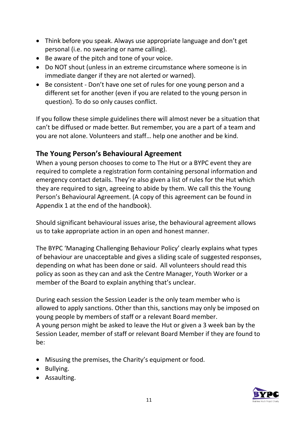- Think before you speak. Always use appropriate language and don't get personal (i.e. no swearing or name calling).
- Be aware of the pitch and tone of your voice.
- Do NOT shout (unless in an extreme circumstance where someone is in immediate danger if they are not alerted or warned).
- Be consistent Don't have one set of rules for one young person and a different set for another (even if you are related to the young person in question). To do so only causes conflict.

If you follow these simple guidelines there will almost never be a situation that can't be diffused or made better. But remember, you are a part of a team and you are not alone. Volunteers and staff… help one another and be kind.

#### **The Young Person's Behavioural Agreement**

When a young person chooses to come to The Hut or a BYPC event they are required to complete a registration form containing personal information and emergency contact details. They're also given a list of rules for the Hut which they are required to sign, agreeing to abide by them. We call this the Young Person's Behavioural Agreement. (A copy of this agreement can be found in Appendix 1 at the end of the handbook).

Should significant behavioural issues arise, the behavioural agreement allows us to take appropriate action in an open and honest manner.

The BYPC 'Managing Challenging Behaviour Policy' clearly explains what types of behaviour are unacceptable and gives a sliding scale of suggested responses, depending on what has been done or said. All volunteers should read this policy as soon as they can and ask the Centre Manager, Youth Worker or a member of the Board to explain anything that's unclear.

During each session the Session Leader is the only team member who is allowed to apply sanctions. Other than this, sanctions may only be imposed on young people by members of staff or a relevant Board member. A young person might be asked to leave the Hut or given a 3 week ban by the Session Leader, member of staff or relevant Board Member if they are found to be:

- Misusing the premises, the Charity's equipment or food.
- Bullying.
- Assaulting.

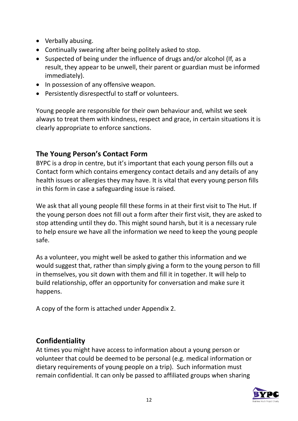- Verbally abusing.
- Continually swearing after being politely asked to stop.
- Suspected of being under the influence of drugs and/or alcohol (If, as a result, they appear to be unwell, their parent or guardian must be informed immediately).
- In possession of any offensive weapon.
- Persistently disrespectful to staff or volunteers.

Young people are responsible for their own behaviour and, whilst we seek always to treat them with kindness, respect and grace, in certain situations it is clearly appropriate to enforce sanctions.

## **The Young Person's Contact Form**

BYPC is a drop in centre, but it's important that each young person fills out a Contact form which contains emergency contact details and any details of any health issues or allergies they may have. It is vital that every young person fills in this form in case a safeguarding issue is raised.

We ask that all young people fill these forms in at their first visit to The Hut. If the young person does not fill out a form after their first visit, they are asked to stop attending until they do. This might sound harsh, but it is a necessary rule to help ensure we have all the information we need to keep the young people safe.

As a volunteer, you might well be asked to gather this information and we would suggest that, rather than simply giving a form to the young person to fill in themselves, you sit down with them and fill it in together. It will help to build relationship, offer an opportunity for conversation and make sure it happens.

A copy of the form is attached under Appendix 2.

### **Confidentiality**

At times you might have access to information about a young person or volunteer that could be deemed to be personal (e.g. medical information or dietary requirements of young people on a trip). Such information must remain confidential. It can only be passed to affiliated groups when sharing

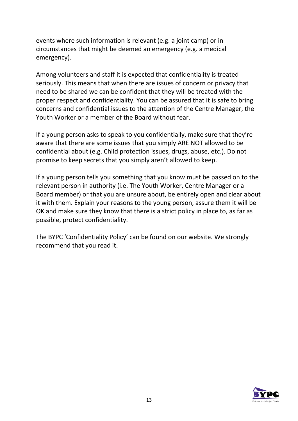events where such information is relevant (e.g. a joint camp) or in circumstances that might be deemed an emergency (e.g. a medical emergency).

Among volunteers and staff it is expected that confidentiality is treated seriously. This means that when there are issues of concern or privacy that need to be shared we can be confident that they will be treated with the proper respect and confidentiality. You can be assured that it is safe to bring concerns and confidential issues to the attention of the Centre Manager, the Youth Worker or a member of the Board without fear.

If a young person asks to speak to you confidentially, make sure that they're aware that there are some issues that you simply ARE NOT allowed to be confidential about (e.g. Child protection issues, drugs, abuse, etc.). Do not promise to keep secrets that you simply aren't allowed to keep.

If a young person tells you something that you know must be passed on to the relevant person in authority (i.e. The Youth Worker, Centre Manager or a Board member) or that you are unsure about, be entirely open and clear about it with them. Explain your reasons to the young person, assure them it will be OK and make sure they know that there is a strict policy in place to, as far as possible, protect confidentiality.

The BYPC 'Confidentiality Policy' can be found on our website. We strongly recommend that you read it.

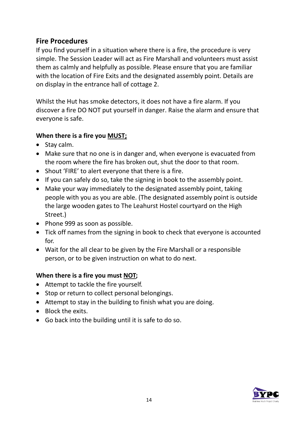#### **Fire Procedures**

If you find yourself in a situation where there is a fire, the procedure is very simple. The Session Leader will act as Fire Marshall and volunteers must assist them as calmly and helpfully as possible. Please ensure that you are familiar with the location of Fire Exits and the designated assembly point. Details are on display in the entrance hall of cottage 2.

Whilst the Hut has smoke detectors, it does not have a fire alarm. If you discover a fire DO NOT put yourself in danger. Raise the alarm and ensure that everyone is safe.

#### **When there is a fire you MUST;**

- Stay calm.
- Make sure that no one is in danger and, when everyone is evacuated from the room where the fire has broken out, shut the door to that room.
- Shout 'FIRE' to alert everyone that there is a fire.
- If you can safely do so, take the signing in book to the assembly point.
- Make your way immediately to the designated assembly point, taking people with you as you are able. (The designated assembly point is outside the large wooden gates to The Leahurst Hostel courtyard on the High Street.)
- Phone 999 as soon as possible.
- Tick off names from the signing in book to check that everyone is accounted for.
- Wait for the all clear to be given by the Fire Marshall or a responsible person, or to be given instruction on what to do next.

#### **When there is a fire you must NOT;**

- Attempt to tackle the fire yourself.
- Stop or return to collect personal belongings.
- Attempt to stay in the building to finish what you are doing.
- Block the exits.
- Go back into the building until it is safe to do so.

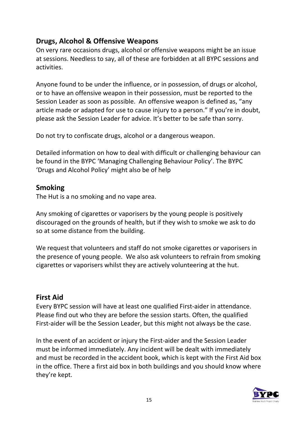### **Drugs, Alcohol & Offensive Weapons**

On very rare occasions drugs, alcohol or offensive weapons might be an issue at sessions. Needless to say, all of these are forbidden at all BYPC sessions and activities.

Anyone found to be under the influence, or in possession, of drugs or alcohol, or to have an offensive weapon in their possession, must be reported to the Session Leader as soon as possible. An offensive weapon is defined as, "any article made or adapted for use to cause injury to a person." If you're in doubt, please ask the Session Leader for advice. It's better to be safe than sorry.

Do not try to confiscate drugs, alcohol or a dangerous weapon.

Detailed information on how to deal with difficult or challenging behaviour can be found in the BYPC 'Managing Challenging Behaviour Policy'. The BYPC 'Drugs and Alcohol Policy' might also be of help

#### **Smoking**

The Hut is a no smoking and no vape area.

Any smoking of cigarettes or vaporisers by the young people is positively discouraged on the grounds of health, but if they wish to smoke we ask to do so at some distance from the building.

We request that volunteers and staff do not smoke cigarettes or vaporisers in the presence of young people. We also ask volunteers to refrain from smoking cigarettes or vaporisers whilst they are actively volunteering at the hut.

#### **First Aid**

Every BYPC session will have at least one qualified First-aider in attendance. Please find out who they are before the session starts. Often, the qualified First-aider will be the Session Leader, but this might not always be the case.

In the event of an accident or injury the First-aider and the Session Leader must be informed immediately. Any incident will be dealt with immediately and must be recorded in the accident book, which is kept with the First Aid box in the office. There a first aid box in both buildings and you should know where they're kept.

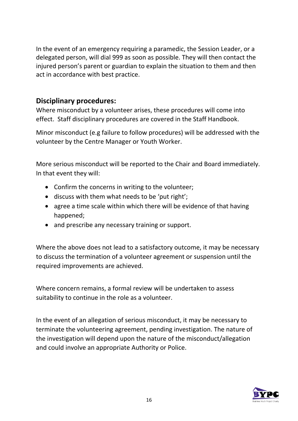In the event of an emergency requiring a paramedic, the Session Leader, or a delegated person, will dial 999 as soon as possible. They will then contact the injured person's parent or guardian to explain the situation to them and then act in accordance with best practice.

#### **Disciplinary procedures:**

Where misconduct by a volunteer arises, these procedures will come into effect. Staff disciplinary procedures are covered in the Staff Handbook.

Minor misconduct (e.g failure to follow procedures) will be addressed with the volunteer by the Centre Manager or Youth Worker.

More serious misconduct will be reported to the Chair and Board immediately. In that event they will:

- Confirm the concerns in writing to the volunteer;
- discuss with them what needs to be 'put right';
- agree a time scale within which there will be evidence of that having happened;
- and prescribe any necessary training or support.

Where the above does not lead to a satisfactory outcome, it may be necessary to discuss the termination of a volunteer agreement or suspension until the required improvements are achieved.

Where concern remains, a formal review will be undertaken to assess suitability to continue in the role as a volunteer.

In the event of an allegation of serious misconduct, it may be necessary to terminate the volunteering agreement, pending investigation. The nature of the investigation will depend upon the nature of the misconduct/allegation and could involve an appropriate Authority or Police.

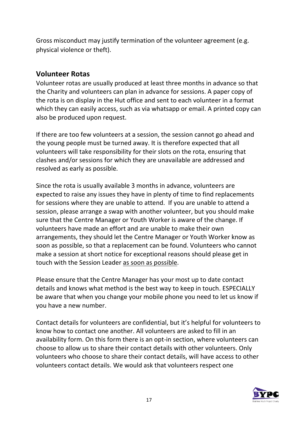Gross misconduct may justify termination of the volunteer agreement (e.g. physical violence or theft).

#### **Volunteer Rotas**

Volunteer rotas are usually produced at least three months in advance so that the Charity and volunteers can plan in advance for sessions. A paper copy of the rota is on display in the Hut office and sent to each volunteer in a format which they can easily access, such as via whatsapp or email. A printed copy can also be produced upon request.

If there are too few volunteers at a session, the session cannot go ahead and the young people must be turned away. It is therefore expected that all volunteers will take responsibility for their slots on the rota, ensuring that clashes and/or sessions for which they are unavailable are addressed and resolved as early as possible.

Since the rota is usually available 3 months in advance, volunteers are expected to raise any issues they have in plenty of time to find replacements for sessions where they are unable to attend. If you are unable to attend a session, please arrange a swap with another volunteer, but you should make sure that the Centre Manager or Youth Worker is aware of the change. If volunteers have made an effort and are unable to make their own arrangements, they should let the Centre Manager or Youth Worker know as soon as possible, so that a replacement can be found. Volunteers who cannot make a session at short notice for exceptional reasons should please get in touch with the Session Leader as soon as possible.

Please ensure that the Centre Manager has your most up to date contact details and knows what method is the best way to keep in touch. ESPECIALLY be aware that when you change your mobile phone you need to let us know if you have a new number.

Contact details for volunteers are confidential, but it's helpful for volunteers to know how to contact one another. All volunteers are asked to fill in an availability form. On this form there is an opt-in section, where volunteers can choose to allow us to share their contact details with other volunteers. Only volunteers who choose to share their contact details, will have access to other volunteers contact details. We would ask that volunteers respect one

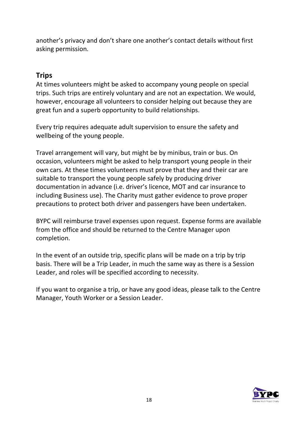another's privacy and don't share one another's contact details without first asking permission.

#### **Trips**

At times volunteers might be asked to accompany young people on special trips. Such trips are entirely voluntary and are not an expectation. We would, however, encourage all volunteers to consider helping out because they are great fun and a superb opportunity to build relationships.

Every trip requires adequate adult supervision to ensure the safety and wellbeing of the young people.

Travel arrangement will vary, but might be by minibus, train or bus. On occasion, volunteers might be asked to help transport young people in their own cars. At these times volunteers must prove that they and their car are suitable to transport the young people safely by producing driver documentation in advance (i.e. driver's licence, MOT and car insurance to including Business use). The Charity must gather evidence to prove proper precautions to protect both driver and passengers have been undertaken.

BYPC will reimburse travel expenses upon request. Expense forms are available from the office and should be returned to the Centre Manager upon completion.

In the event of an outside trip, specific plans will be made on a trip by trip basis. There will be a Trip Leader, in much the same way as there is a Session Leader, and roles will be specified according to necessity.

If you want to organise a trip, or have any good ideas, please talk to the Centre Manager, Youth Worker or a Session Leader.

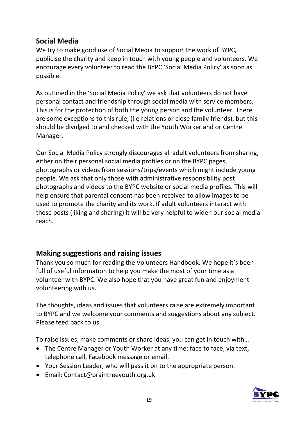#### **Social Media**

We try to make good use of Social Media to support the work of BYPC, publicise the charity and keep in touch with young people and volunteers. We encourage every volunteer to read the BYPC 'Social Media Policy' as soon as possible.

As outlined in the 'Social Media Policy' we ask that volunteers do not have personal contact and friendship through social media with service members. This is for the protection of both the young person and the volunteer. There are some exceptions to this rule, (i.e relations or close family friends), but this should be divulged to and checked with the Youth Worker and or Centre Manager.

Our Social Media Policy strongly discourages all adult volunteers from sharing, either on their personal social media profiles or on the BYPC pages, photographs or videos from sessions/trips/events which might include young people. We ask that only those with administrative responsibility post photographs and videos to the BYPC website or social media profiles. This will help ensure that parental consent has been received to allow images to be used to promote the charity and its work. If adult volunteers interact with these posts (liking and sharing) it will be very helpful to widen our social media reach.

#### **Making suggestions and raising issues**

Thank you so much for reading the Volunteers Handbook. We hope it's been full of useful information to help you make the most of your time as a volunteer with BYPC. We also hope that you have great fun and enjoyment volunteering with us.

The thoughts, ideas and issues that volunteers raise are extremely important to BYPC and we welcome your comments and suggestions about any subject. Please feed back to us.

To raise issues, make comments or share ideas, you can get in touch with…

- The Centre Manager or Youth Worker at any time: face to face, via text, telephone call, Facebook message or email.
- Your Session Leader, who will pass it on to the appropriate person.
- Email: Contact@braintreeyouth.org.uk

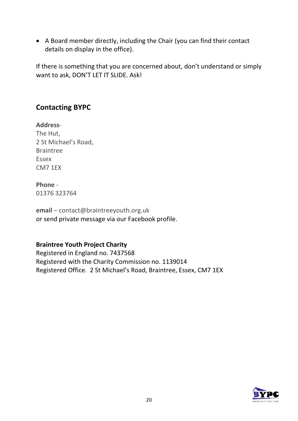• A Board member directly, including the Chair (you can find their contact details on display in the office).

If there is something that you are concerned about, don't understand or simply want to ask, DON'T LET IT SLIDE. Ask!

#### **Contacting BYPC**

**Address**-The Hut, 2 St Michael's Road, Braintree Essex CM7 1EX

#### **Phone** -

01376 323764

**email** – contact@braintreeyouth.org.uk or send private message via our Facebook profile.

#### **Braintree Youth Project Charity**

Registered in England no. 7437568 Registered with the Charity Commission no. 1139014 Registered Office. 2 St Michael's Road, Braintree, Essex, CM7 1EX

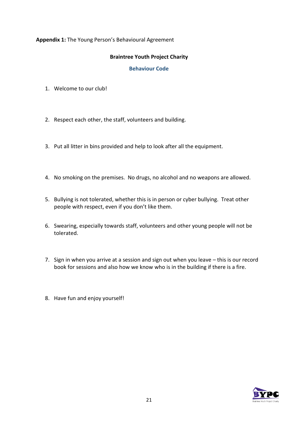#### **Appendix 1:** The Young Person's Behavioural Agreement

#### **Braintree Youth Project Charity**

#### **Behaviour Code**

- 1. Welcome to our club!
- 2. Respect each other, the staff, volunteers and building.
- 3. Put all litter in bins provided and help to look after all the equipment.
- 4. No smoking on the premises. No drugs, no alcohol and no weapons are allowed.
- 5. Bullying is not tolerated, whether this is in person or cyber bullying. Treat other people with respect, even if you don't like them.
- 6. Swearing, especially towards staff, volunteers and other young people will not be tolerated.
- 7. Sign in when you arrive at a session and sign out when you leave this is our record book for sessions and also how we know who is in the building if there is a fire.
- 8. Have fun and enjoy yourself!

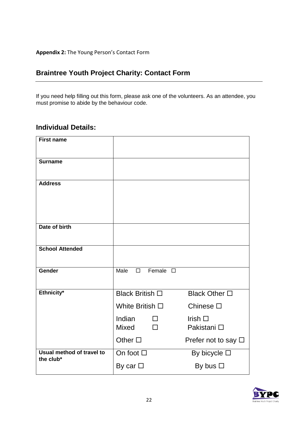**Appendix 2:** The Young Person's Contact Form

#### **Braintree Youth Project Charity: Contact Form**

If you need help filling out this form, please ask one of the volunteers. As an attendee, you must promise to abide by the behaviour code.

#### **Individual Details:**

| <b>First name</b>                      |                                       |                                |
|----------------------------------------|---------------------------------------|--------------------------------|
| <b>Surname</b>                         |                                       |                                |
| <b>Address</b>                         |                                       |                                |
| Date of birth                          |                                       |                                |
| <b>School Attended</b>                 |                                       |                                |
| Gender                                 | Female $\square$<br>Male<br>$\Box$    |                                |
| Ethnicity*                             | <b>Black British</b> □                | Black Other □                  |
|                                        | White British $\square$               | Chinese $\square$              |
|                                        | Indian<br>П<br><b>Mixed</b><br>$\Box$ | Irish $\square$<br>Pakistani □ |
|                                        | Other $\square$                       | Prefer not to say $\square$    |
| Usual method of travel to<br>the club* | On foot $\square$                     | By bicycle $\square$           |
|                                        | By car $\Box$                         | By bus $\square$               |

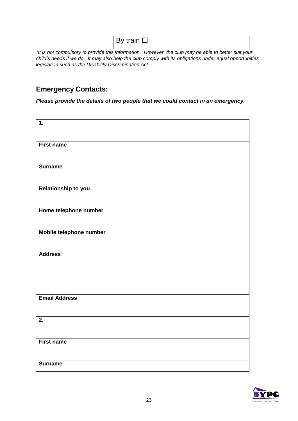| DV<br>$\cdots$ | train |
|----------------|-------|
|----------------|-------|

*\*It is not compulsory to provide this information. However, the club may be able to better suit your child's needs if we do. It may also help the club comply with its obligations under equal opportunities legislation such as the Disability Discrimination Act.*

#### **Emergency Contacts:**

*Please provide the details of two people that we could contact in an emergency.*

| $\overline{1}$ .        |  |
|-------------------------|--|
|                         |  |
| <b>First name</b>       |  |
|                         |  |
| <b>Surname</b>          |  |
|                         |  |
| Relationship to you     |  |
|                         |  |
| Home telephone number   |  |
| Mobile telephone number |  |
|                         |  |
| <b>Address</b>          |  |
|                         |  |
|                         |  |
|                         |  |
| <b>Email Address</b>    |  |
|                         |  |
| $\overline{2}$ .        |  |
|                         |  |
| <b>First name</b>       |  |
|                         |  |
| <b>Surname</b>          |  |

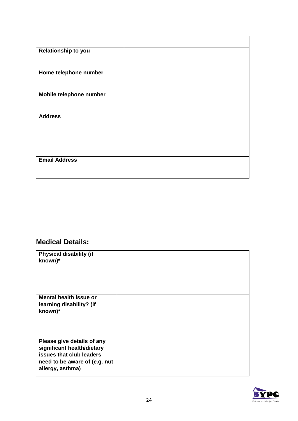| Relationship to you     |  |
|-------------------------|--|
| Home telephone number   |  |
| Mobile telephone number |  |
| <b>Address</b>          |  |
| <b>Email Address</b>    |  |

## **Medical Details:**

| <b>Physical disability (if</b><br>known)*                                                                                                 |  |
|-------------------------------------------------------------------------------------------------------------------------------------------|--|
| <b>Mental health issue or</b><br>learning disability? (if<br>known)*                                                                      |  |
| Please give details of any<br>significant health/dietary<br>issues that club leaders<br>need to be aware of (e.g. nut<br>allergy, asthma) |  |

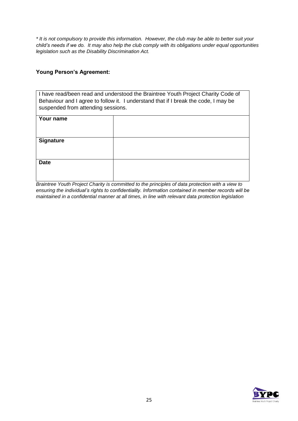*\* It is not compulsory to provide this information. However, the club may be able to better suit your child's needs if we do. It may also help the club comply with its obligations under equal opportunities legislation such as the Disability Discrimination Act.*

#### **Young Person's Agreement:**

I have read/been read and understood the Braintree Youth Project Charity Code of Behaviour and I agree to follow it. I understand that if I break the code, I may be suspended from attending sessions.

| Your name        |  |
|------------------|--|
| <b>Signature</b> |  |
| <b>Date</b>      |  |
|                  |  |

*Braintree Youth Project Charity is committed to the principles of data protection with a view to ensuring the individual's rights to confidentiality. Information contained in member records will be maintained in a confidential manner at all times, in line with relevant data protection legislation*

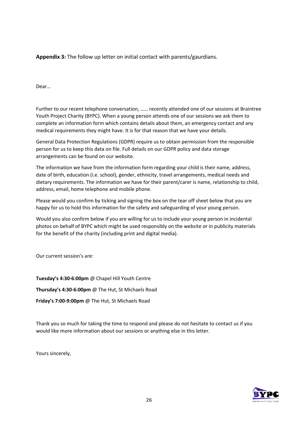**Appendix 3:** The follow up letter on initial contact with parents/gaurdians.

Dear…

Further to our recent telephone conversation, …… recently attended one of our sessions at Braintree Youth Project Charity (BYPC). When a young person attends one of our sessions we ask them to complete an information form which contains details about them, an emergency contact and any medical requirements they might have. It is for that reason that we have your details.

General Data Protection Regulations (GDPR) require us to obtain permission from the responsible person for us to keep this data on file. Full details on our GDPR policy and data storage arrangements can be found on our website.

The information we have from the information form regarding your child is their name, address, date of birth, education (i.e. school), gender, ethnicity, travel arrangements, medical needs and dietary requirements. The information we have for their parent/carer is name, relationship to child, address, email, home telephone and mobile phone.

Please would you confirm by ticking and signing the box on the tear off sheet below that you are happy for us to hold this information for the safety and safeguarding of your young person.

Would you also confirm below if you are willing for us to include your young person in incidental photos on behalf of BYPC which might be used responsibly on the website or in publicity materials for the benefit of the charity (including print and digital media).

Our current session's are:

**Tuesday's 4:30-6:00pm** @ Chapel Hill Youth Centre **Thursday's 4:30-6:00pm** @ The Hut, St Michaels Road **Friday's 7:00-9:00pm** @ The Hut, St Michaels Road

Thank you so much for taking the time to respond and please do not hesitate to contact us if you would like more information about our sessions or anything else in this letter.

Yours sincerely,